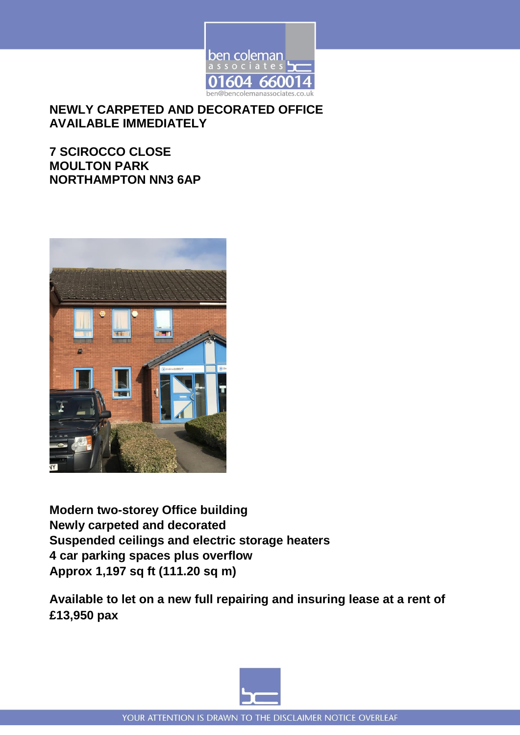

**NEWLY CARPETED AND DECORATED OFFICE AVAILABLE IMMEDIATELY**

**7 SCIROCCO CLOSE MOULTON PARK NORTHAMPTON NN3 6AP**



**Modern two-storey Office building Newly carpeted and decorated Suspended ceilings and electric storage heaters 4 car parking spaces plus overflow Approx 1,197 sq ft (111.20 sq m)** 

**Available to let on a new full repairing and insuring lease at a rent of £13,950 pax**